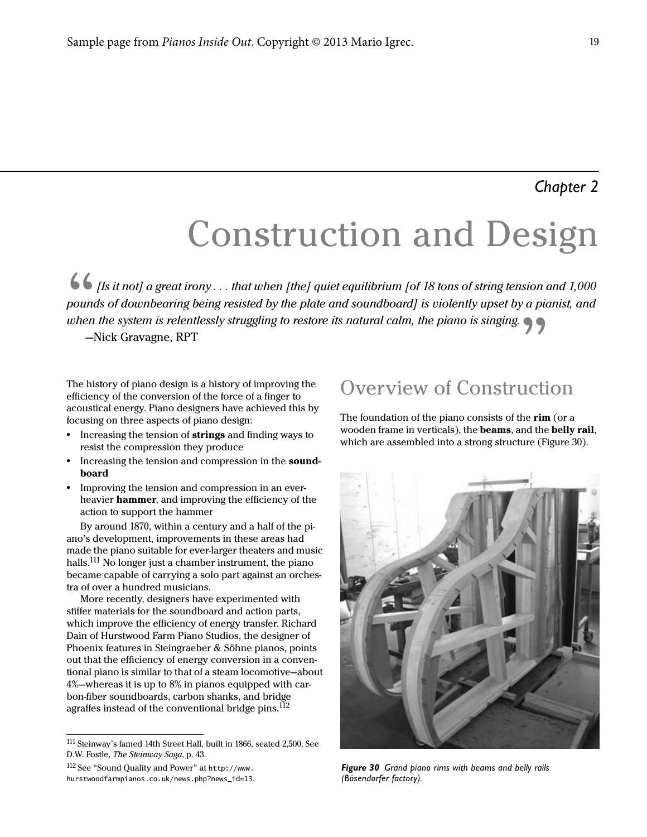# Construction and Design

Its it not] a great irony . . . that when [the] quiet equilibrium [of 18 tons of string tension and 1,000<br>bounds of downbearing being resisted by the plate and soundboard] is violently upset by a pianist, and<br>when the syst pounds of downbearing being resisted by the plate and soundboard] is violently upset by a pianist, and when the system is relentlessly struggling to restore its natural calm, the piano is singing.

The history of piano design is a history of improving the efficiency of the conversion of the force of a finger to acoustical energy. Piano designers have achieved this by focusing on three aspects of piano design:

- **•** Increasing the tension of strings and finding ways to resist the compression they produce
- Increasing the tension and compression in the **sound**board
- **•** Improving the tension and compression in an everheavier hammer, and improving the efficiency of the action to support the hammer

By around 1870, within a century and a half of the piano's development, improvements in these areas had made the piano suitable for ever-larger theaters and music halls.<sup>111</sup> No longer just a chamber instrument, the piano became capable of carrying a solo part against an orchestra of over a hundred musicians.

More recently, designers have experimented with stiffer materials for the soundboard and action parts, which improve the efficiency of energy transfer. Richard Dain of Hurstwood Farm Piano Studios, the designer of Phoenix features in Steingraeber & Söhne pianos, points out that the efficiency of energy conversion in a conventional piano is similar to that of a steam locomotive—about 4%—whereas it is up to 8% in pianos equipped with carbon-fiber soundboards, carbon shanks, and bridge agraffes instead of the conventional bridge pins.<sup>112</sup>

## Overview of Construction

The foundation of the piano consists of the rim (or a wooden frame in verticals), the beams, and the belly rail, which are assembled into a strong structure (Figure 30).



*Figure 30 Grand piano rims with beams and belly rails (Bösendorfer factory).*

<sup>111</sup>Steinway's famed 14th Street Hall, built in 1866, seated 2,500. See D.W. Fostle, The Steinway Saga, p. 43.

<sup>112</sup> See "Sound Quality and Power" at http://www. hurstwoodfarmpianos.co.uk/news.php?news\_id=13.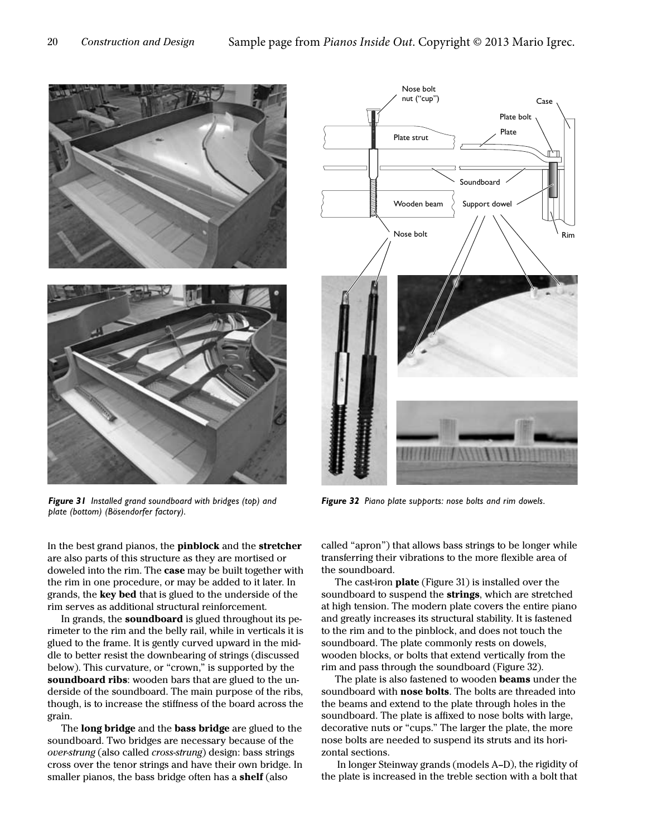

*Figure 31 Installed grand soundboard with bridges (top) and plate (bottom) (Bösendorfer factory).*

In the best grand pianos, the pinblock and the stretcher are also parts of this structure as they are mortised or doweled into the rim. The case may be built together with the rim in one procedure, or may be added to it later. In grands, the **key bed** that is glued to the underside of the rim serves as additional structural reinforcement.

In grands, the soundboard is glued throughout its perimeter to the rim and the belly rail, while in verticals it is glued to the frame. It is gently curved upward in the middle to better resist the downbearing of strings (discussed below). This curvature, or "crown," is supported by the soundboard ribs: wooden bars that are glued to the underside of the soundboard. The main purpose of the ribs, though, is to increase the stiffness of the board across the grain.

The long bridge and the bass bridge are glued to the soundboard. Two bridges are necessary because of the over-strung (also called cross-strung) design: bass strings cross over the tenor strings and have their own bridge. In smaller pianos, the bass bridge often has a **shelf** (also



*Figure 32 Piano plate supports: nose bolts and rim dowels.*

called "apron") that allows bass strings to be longer while transferring their vibrations to the more flexible area of the soundboard.

The cast-iron plate (Figure 31) is installed over the soundboard to suspend the strings, which are stretched at high tension. The modern plate covers the entire piano and greatly increases its structural stability. It is fastened to the rim and to the pinblock, and does not touch the soundboard. The plate commonly rests on dowels, wooden blocks, or bolts that extend vertically from the rim and pass through the soundboard (Figure 32).

The plate is also fastened to wooden **beams** under the soundboard with **nose bolts**. The bolts are threaded into the beams and extend to the plate through holes in the soundboard. The plate is affixed to nose bolts with large, decorative nuts or "cups." The larger the plate, the more nose bolts are needed to suspend its struts and its horizontal sections.

 In longer Steinway grands (models A–D), the rigidity of the plate is increased in the treble section with a bolt that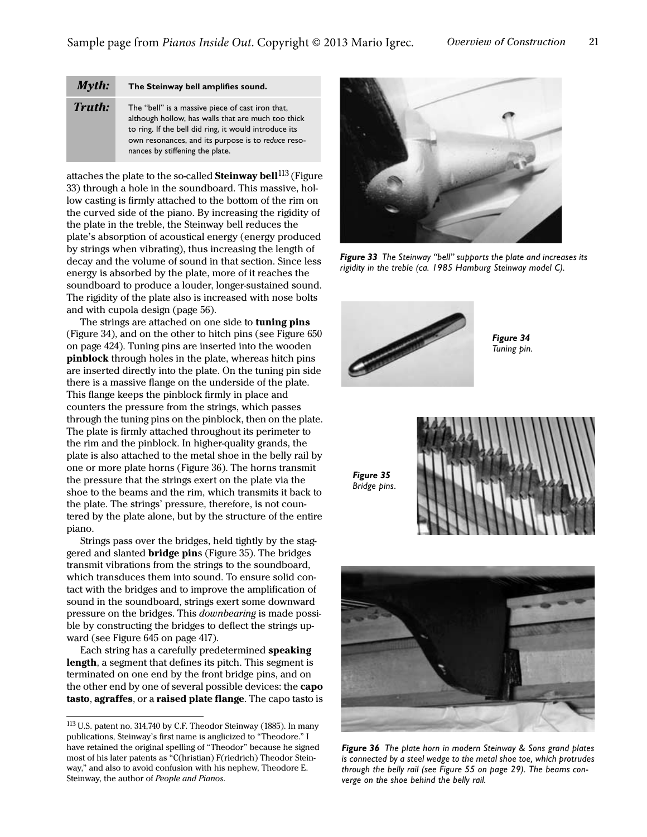| Myth:         | The Steinway bell amplifies sound.                                                                                                                                                                                                                       |
|---------------|----------------------------------------------------------------------------------------------------------------------------------------------------------------------------------------------------------------------------------------------------------|
| <b>Truth:</b> | The "bell" is a massive piece of cast iron that,<br>although hollow, has walls that are much too thick<br>to ring. If the bell did ring, it would introduce its<br>own resonances, and its purpose is to reduce reso-<br>nances by stiffening the plate. |

attaches the plate to the so-called **Steinway bell**  $^{113}$  (Figure 33) through a hole in the soundboard. This massive, hollow casting is firmly attached to the bottom of the rim on the curved side of the piano. By increasing the rigidity of the plate in the treble, the Steinway bell reduces the plate's absorption of acoustical energy (energy produced by strings when vibrating), thus increasing the length of decay and the volume of sound in that section. Since less energy is absorbed by the plate, more of it reaches the soundboard to produce a louder, longer-sustained sound. The rigidity of the plate also is increased with nose bolts and with cupola design [\(page 56\)](#page--1-1).

The strings are attached on one side to **tuning pins** (Figure 34), and on the other to hitch pins (see Figure 650 on page 424). Tuning pins are inserted into the wooden pinblock through holes in the plate, whereas hitch pins are inserted directly into the plate. On the tuning pin side there is a massive flange on the underside of the plate. This flange keeps the pinblock firmly in place and counters the pressure from the strings, which passes through the tuning pins on the pinblock, then on the plate. The plate is firmly attached throughout its perimeter to the rim and the pinblock. In higher-quality grands, the plate is also attached to the metal shoe in the belly rail by one or more plate horns (Figure 36). The horns transmit the pressure that the strings exert on the plate via the shoe to the beams and the rim, which transmits it back to the plate. The strings' pressure, therefore, is not countered by the plate alone, but by the structure of the entire piano.

Strings pass over the bridges, held tightly by the staggered and slanted **bridge pins** (Figure 35). The bridges transmit vibrations from the strings to the soundboard, which transduces them into sound. To ensure solid contact with the bridges and to improve the amplification of sound in the soundboard, strings exert some downward pressure on the bridges. This downbearing is made possible by constructing the bridges to deflect the strings upward (see Figure 645 on page 417).

Each string has a carefully predetermined speaking length, a segment that defines its pitch. This segment is terminated on one end by the front bridge pins, and on the other end by one of several possible devices: the **capo** tasto, agraffes, or a raised plate flange. The capo tasto is



*Figure 33 The Steinway "bell" supports the plate and increases its rigidity in the treble (ca. 1985 Hamburg Steinway model C).*



*Figure 35 Bridge pins.*

*Figure 34 Tuning pin.*





*Figure 36 The plate horn in modern Steinway & Sons grand plates is connected by a steel wedge to the metal shoe toe, which protrudes through the belly rail (see [Figure 55 on page 29](#page--1-0)). The beams converge on the shoe behind the belly rail.*

<sup>113</sup>U.S. patent no. 314,740 by C.F. Theodor Steinway (1885). In many publications, Steinway's first name is anglicized to "Theodore." I have retained the original spelling of "Theodor" because he signed most of his later patents as "C(hristian) F(riedrich) Theodor Steinway," and also to avoid confusion with his nephew, Theodore E. Steinway, the author of People and Pianos.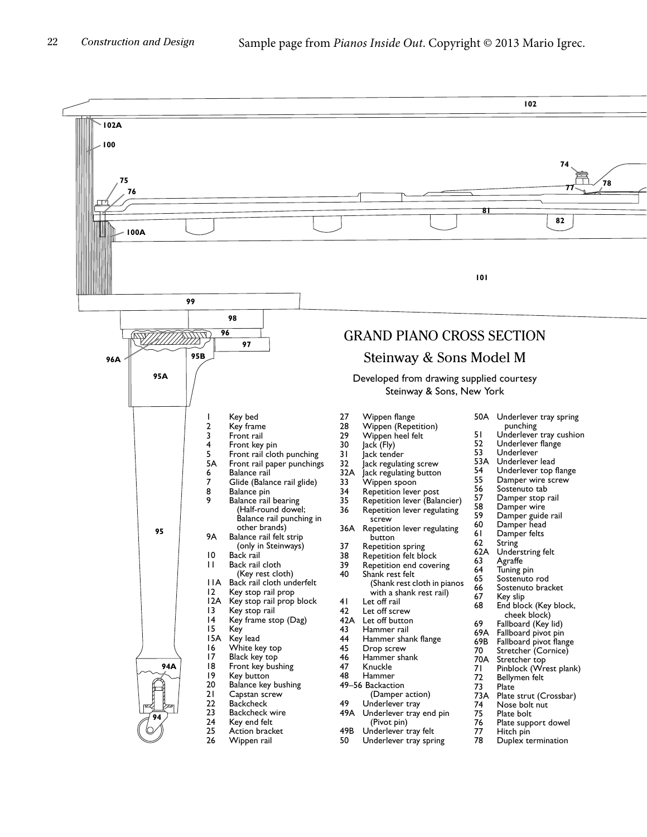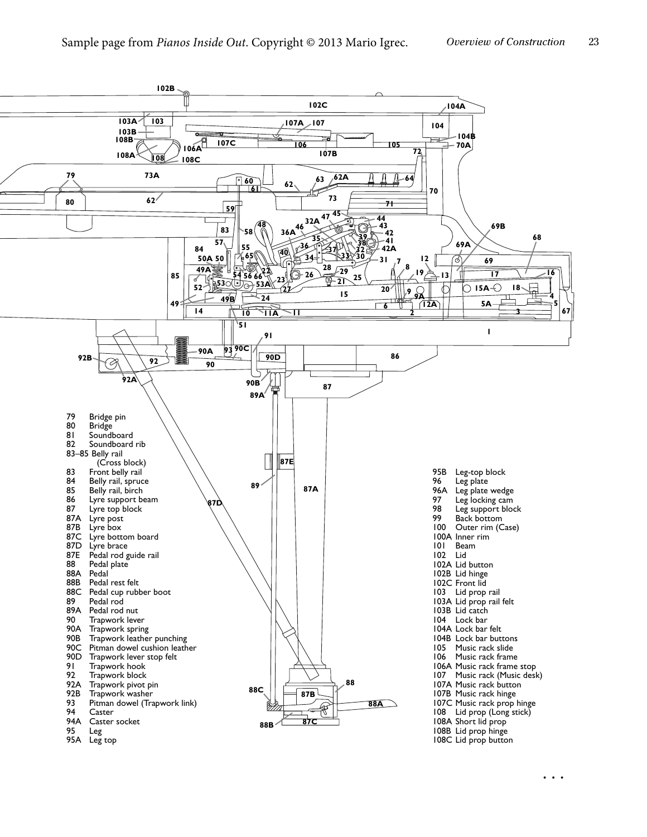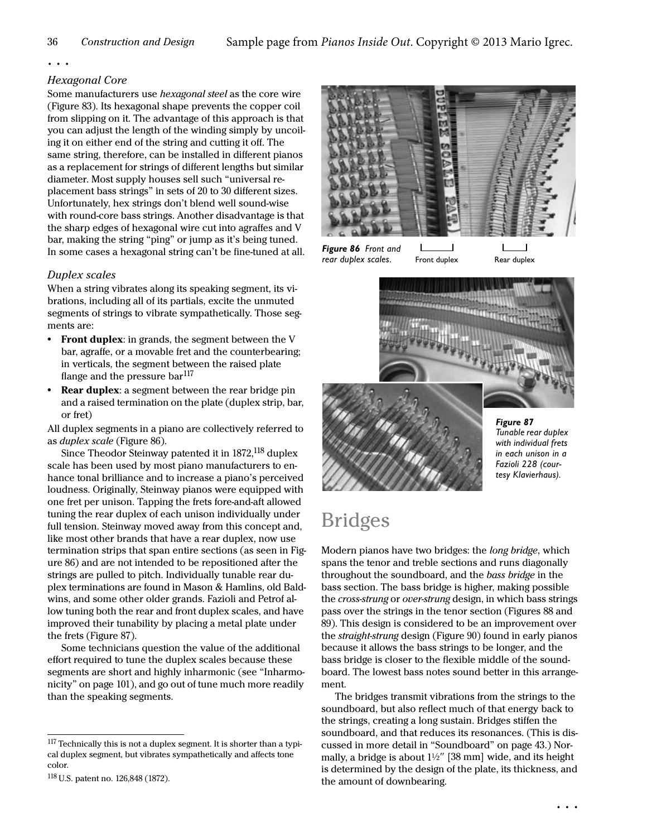### Hexagonal Core

Some manufacturers use *hexagonal steel* as the core wire ([Figure 83\)](#page--1-2). Its hexagonal shape prevents the copper coil from slipping on it. The advantage of this approach is that you can adjust the length of the winding simply by uncoiling it on either end of the string and cutting it off. The same string, therefore, can be installed in different pianos as a replacement for strings of different lengths but similar diameter. Most supply houses sell such "universal replacement bass strings" in sets of 20 to 30 different sizes. Unfortunately, hex strings don't blend well sound-wise with round-core bass strings. Another disadvantage is that the sharp edges of hexagonal wire cut into agraffes and V bar, making the string "ping" or jump as it's being tuned. In some cases a hexagonal string can't be fine-tuned at all.

### <span id="page-5-0"></span>Duplex scales

When a string vibrates along its speaking segment, its vibrations, including all of its partials, excite the unmuted segments of strings to vibrate sympathetically. Those segments are:

- **•** Front duplex: in grands, the segment between the V bar, agraffe, or a movable fret and the counterbearing; in verticals, the segment between the raised plate flange and the pressure bar $^{117}$
- **Rear duplex:** a segment between the rear bridge pin and a raised termination on the plate (duplex strip, bar, or fret)

All duplex segments in a piano are collectively referred to as duplex scale (Figure 86).

Since Theodor Steinway patented it in 1872,<sup>118</sup> duplex scale has been used by most piano manufacturers to enhance tonal brilliance and to increase a piano's perceived loudness. Originally, Steinway pianos were equipped with one fret per unison. Tapping the frets fore-and-aft allowed tuning the rear duplex of each unison individually under full tension. Steinway moved away from this concept and, like most other brands that have a rear duplex, now use termination strips that span entire sections (as seen in Figure 86) and are not intended to be repositioned after the strings are pulled to pitch. Individually tunable rear duplex terminations are found in Mason & Hamlins, old Baldwins, and some other older grands. Fazioli and Petrof allow tuning both the rear and front duplex scales, and have improved their tunability by placing a metal plate under the frets (Figure 87).

Some technicians question the value of the additional effort required to tune the duplex scales because these segments are short and highly inharmonic (see "Inharmonicity" on page 101), and go out of tune much more readily than the speaking segments.



*Figure 86 Front and*  rear duplex scales. Front duplex Rear duplex



*in each unison in a Fazioli 228 (courtesy Klavierhaus).*

# Bridges

Modern pianos have two bridges: the long bridge, which spans the tenor and treble sections and runs diagonally throughout the soundboard, and the bass bridge in the bass section. The bass bridge is higher, making possible the cross-strung or over-strung design, in which bass strings pass over the strings in the tenor section (Figures 88 and 89). This design is considered to be an improvement over the straight-strung design (Figure 90) found in early pianos because it allows the bass strings to be longer, and the bass bridge is closer to the flexible middle of the soundboard. The lowest bass notes sound better in this arrangement.

The bridges transmit vibrations from the strings to the soundboard, but also reflect much of that energy back to the strings, creating a long sustain. Bridges stiffen the soundboard, and that reduces its resonances. (This is discussed in more detail in ["Soundboard" on page 43.](#page--1-3)) Normally, a bridge is about 1<sup>1</sup>/<sub>2</sub>" [38 mm] wide, and its height is determined by the design of the plate, its thickness, and the amount of downbearing.

<sup>&</sup>lt;sup>117</sup> Technically this is not a duplex segment. It is shorter than a typical duplex segment, but vibrates sympathetically and affects tone color.

<sup>118</sup>U.S. patent no. 126,848 (1872).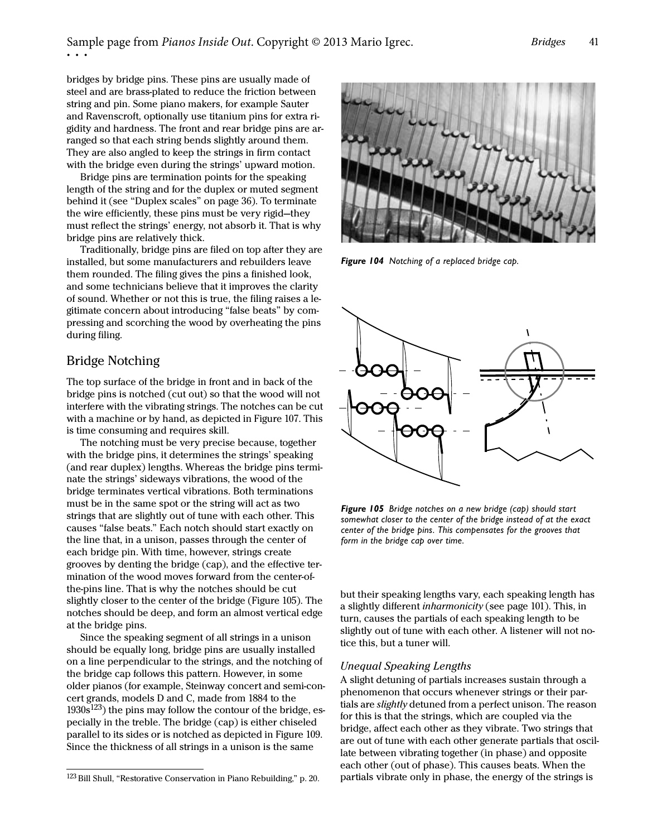bridges by bridge pins. These pins are usually made of steel and are brass-plated to reduce the friction between string and pin. Some piano makers, for example Sauter and Ravenscroft, optionally use titanium pins for extra rigidity and hardness. The front and rear bridge pins are arranged so that each string bends slightly around them. They are also angled to keep the strings in firm contact with the bridge even during the strings' upward motion.

Bridge pins are termination points for the speaking length of the string and for the duplex or muted segment behind it (see ["Duplex scales" on page 36](#page-5-0)). To terminate the wire efficiently, these pins must be very rigid—they must reflect the strings' energy, not absorb it. That is why bridge pins are relatively thick.

Traditionally, bridge pins are filed on top after they are installed, but some manufacturers and rebuilders leave them rounded. The filing gives the pins a finished look, and some technicians believe that it improves the clarity of sound. Whether or not this is true, the filing raises a legitimate concern about introducing "false beats" by compressing and scorching the wood by overheating the pins during filing.

### Bridge Notching

The top surface of the bridge in front and in back of the bridge pins is notched (cut out) so that the wood will not interfere with the vibrating strings. The notches can be cut with a machine or by hand, as depicted in Figure 107. This is time consuming and requires skill.

The notching must be very precise because, together with the bridge pins, it determines the strings' speaking (and rear duplex) lengths. Whereas the bridge pins terminate the strings' sideways vibrations, the wood of the bridge terminates vertical vibrations. Both terminations must be in the same spot or the string will act as two strings that are slightly out of tune with each other. This causes "false beats." Each notch should start exactly on the line that, in a unison, passes through the center of each bridge pin. With time, however, strings create grooves by denting the bridge (cap), and the effective termination of the wood moves forward from the center-ofthe-pins line. That is why the notches should be cut slightly closer to the center of the bridge (Figure 105). The notches should be deep, and form an almost vertical edge at the bridge pins.

Since the speaking segment of all strings in a unison should be equally long, bridge pins are usually installed on a line perpendicular to the strings, and the notching of the bridge cap follows this pattern. However, in some older pianos (for example, Steinway concert and semi-concert grands, models D and C, made from 1884 to the  $1930s^{123}$ ) the pins may follow the contour of the bridge, especially in the treble. The bridge (cap) is either chiseled parallel to its sides or is notched as depicted in [Figure 109](#page-7-0). Since the thickness of all strings in a unison is the same



*Figure 104 Notching of a replaced bridge cap.*



*Figure 105 Bridge notches on a new bridge (cap) should start somewhat closer to the center of the bridge instead of at the exact center of the bridge pins. This compensates for the grooves that form in the bridge cap over time.*

but their speaking lengths vary, each speaking length has a slightly different inharmonicity (see page 101). This, in turn, causes the partials of each speaking length to be slightly out of tune with each other. A listener will not notice this, but a tuner will.

### Unequal Speaking Lengths

A slight detuning of partials increases sustain through a phenomenon that occurs whenever strings or their partials are slightly detuned from a perfect unison. The reason for this is that the strings, which are coupled via the bridge, affect each other as they vibrate. Two strings that are out of tune with each other generate partials that oscillate between vibrating together (in phase) and opposite each other (out of phase). This causes beats. When the  $123$  Bill Shull, "Restorative Conservation in Piano Rebuilding," p. 20. partials vibrate only in phase, the energy of the strings is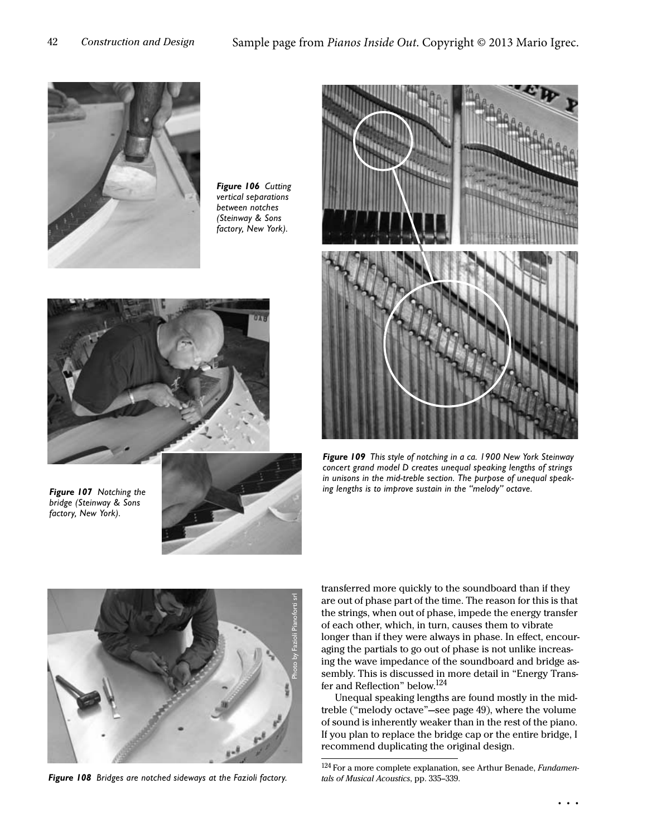

*Figure 106 Cutting vertical separations between notches (Steinway & Sons factory, New York).*



*Figure 107 Notching the bridge (Steinway & Sons factory, New York).*





*Figure 109 This style of notching in a ca. 1900 New York Steinway concert grand model D creates unequal speaking lengths of strings in unisons in the mid-treble section. The purpose of unequal speaking lengths is to improve sustain in the "melody" octave.*



*Figure 108 Bridges are notched sideways at the Fazioli factory.*

<span id="page-7-0"></span>transferred more quickly to the soundboard than if they are out of phase part of the time. The reason for this is that the strings, when out of phase, impede the energy transfer of each other, which, in turn, causes them to vibrate longer than if they were always in phase. In effect, encouraging the partials to go out of phase is not unlike increasing the wave impedance of the soundboard and bridge assembly. This is discussed in more detail in ["Energy Trans](#page--1-4)[fer and Reflection"](#page--1-4) below.<sup>124</sup>

Unequal speaking lengths are found mostly in the midtreble ("melody octave"—see [page 49](#page-9-0)), where the volume of sound is inherently weaker than in the rest of the piano. If you plan to replace the bridge cap or the entire bridge, I recommend duplicating the original design.

 $^{124}$  For a more complete explanation, see Arthur Benade, Fundamentals of Musical Acoustics, pp. 335–339.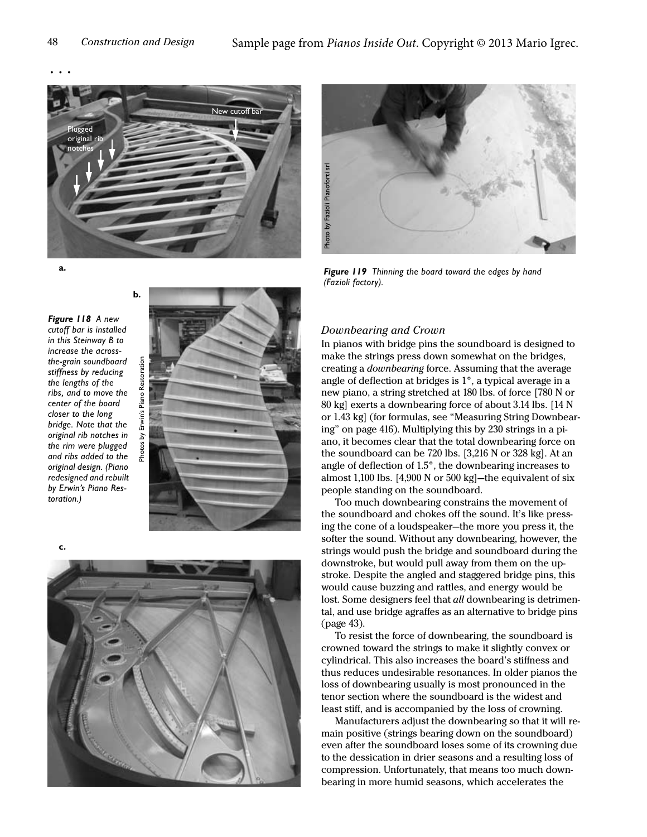

**a.**

*Figure 118 A new cutoff bar is installed in this Steinway B to increase the acrossthe-grain soundboard stiffness by reducing the lengths of the ribs, and to move the center of the board closer to the long bridge. Note that the original rib notches in the rim were plugged and ribs added to the original design. (Piano redesigned and rebuilt by Erwin's Piano Restoration.)*



**c.**





*Figure 119 Thinning the board toward the edges by hand* 

### Downbearing and Crown

In pianos with bridge pins the soundboard is designed to make the strings press down somewhat on the bridges, creating a downbearing force. Assuming that the average angle of deflection at bridges is 1°, a typical average in a new piano, a string stretched at 180 lbs. of force [780 N or 80 kg] exerts a downbearing force of about 3.14 lbs. [14 N or 1.43 kg] (for formulas, see "Measuring String Downbearing" on page 416). Multiplying this by 230 strings in a piano, it becomes clear that the total downbearing force on the soundboard can be 720 lbs. [3,216 N or 328 kg]. At an angle of deflection of 1.5°, the downbearing increases to almost 1,100 lbs. [4,900 N or 500 kg]—the equivalent of six people standing on the soundboard.

Too much downbearing constrains the movement of the soundboard and chokes off the sound. It's like pressing the cone of a loudspeaker—the more you press it, the softer the sound. Without any downbearing, however, the strings would push the bridge and soundboard during the downstroke, but would pull away from them on the upstroke. Despite the angled and staggered bridge pins, this would cause buzzing and rattles, and energy would be lost. Some designers feel that *all* downbearing is detrimental, and use bridge agraffes as an alternative to bridge pins ([page 43\)](#page--1-5).

To resist the force of downbearing, the soundboard is crowned toward the strings to make it slightly convex or cylindrical. This also increases the board's stiffness and thus reduces undesirable resonances. In older pianos the loss of downbearing usually is most pronounced in the tenor section where the soundboard is the widest and least stiff, and is accompanied by the loss of crowning.

Manufacturers adjust the downbearing so that it will remain positive (strings bearing down on the soundboard) even after the soundboard loses some of its crowning due to the dessication in drier seasons and a resulting loss of compression. Unfortunately, that means too much downbearing in more humid seasons, which accelerates the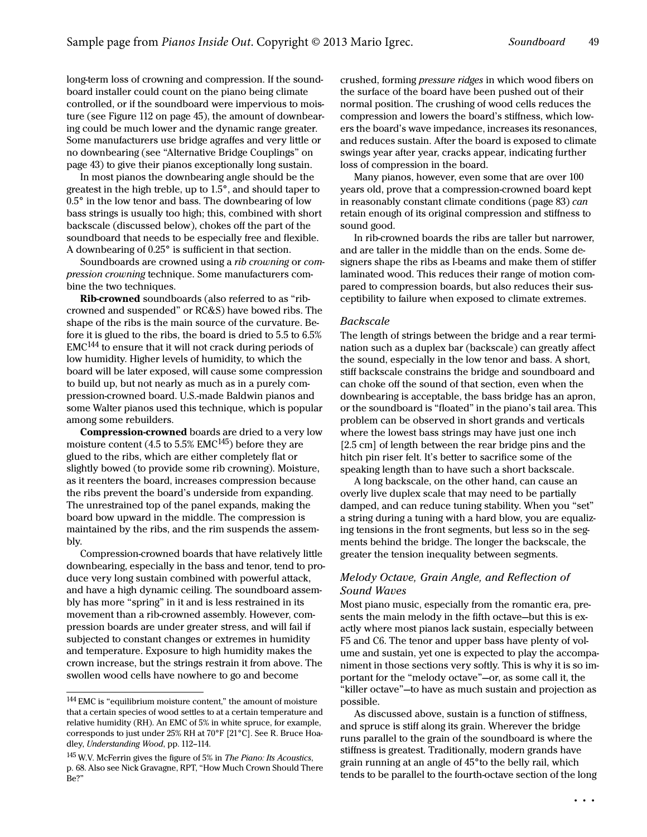long-term loss of crowning and compression. If the soundboard installer could count on the piano being climate controlled, or if the soundboard were impervious to moisture (see Figure 112 on page 45), the amount of downbearing could be much lower and the dynamic range greater. Some manufacturers use bridge agraffes and very little or no downbearing (see ["Alternative Bridge Couplings" on](#page--1-5)  [page 43\)](#page--1-5) to give their pianos exceptionally long sustain.

In most pianos the downbearing angle should be the greatest in the high treble, up to 1.5°, and should taper to 0.5° in the low tenor and bass. The downbearing of low bass strings is usually too high; this, combined with short backscale (discussed below), chokes off the part of the soundboard that needs to be especially free and flexible. A downbearing of 0.25° is sufficient in that section.

Soundboards are crowned using a rib crowning or compression crowning technique. Some manufacturers combine the two techniques.

Rib-crowned soundboards (also referred to as "ribcrowned and suspended" or RC&S) have bowed ribs. The shape of the ribs is the main source of the curvature. Before it is glued to the ribs, the board is dried to 5.5 to 6.5%  $EMC<sup>144</sup>$  to ensure that it will not crack during periods of low humidity. Higher levels of humidity, to which the board will be later exposed, will cause some compression to build up, but not nearly as much as in a purely compression-crowned board. U.S.-made Baldwin pianos and some Walter pianos used this technique, which is popular among some rebuilders.

Compression-crowned boards are dried to a very low moisture content (4.5 to 5.5% EMC $145$ ) before they are glued to the ribs, which are either completely flat or slightly bowed (to provide some rib crowning). Moisture, as it reenters the board, increases compression because the ribs prevent the board's underside from expanding. The unrestrained top of the panel expands, making the board bow upward in the middle. The compression is maintained by the ribs, and the rim suspends the assembly.

Compression-crowned boards that have relatively little downbearing, especially in the bass and tenor, tend to produce very long sustain combined with powerful attack, and have a high dynamic ceiling. The soundboard assembly has more "spring" in it and is less restrained in its movement than a rib-crowned assembly. However, compression boards are under greater stress, and will fail if subjected to constant changes or extremes in humidity and temperature. Exposure to high humidity makes the crown increase, but the strings restrain it from above. The swollen wood cells have nowhere to go and become

crushed, forming pressure ridges in which wood fibers on the surface of the board have been pushed out of their normal position. The crushing of wood cells reduces the compression and lowers the board's stiffness, which lowers the board's wave impedance, increases its resonances, and reduces sustain. After the board is exposed to climate swings year after year, cracks appear, indicating further loss of compression in the board.

Many pianos, however, even some that are over 100 years old, prove that a compression-crowned board kept in reasonably constant climate conditions (page 83) can retain enough of its original compression and stiffness to sound good.

In rib-crowned boards the ribs are taller but narrower, and are taller in the middle than on the ends. Some designers shape the ribs as I-beams and make them of stiffer laminated wood. This reduces their range of motion compared to compression boards, but also reduces their susceptibility to failure when exposed to climate extremes.

### Backscale

The length of strings between the bridge and a rear termination such as a duplex bar (backscale) can greatly affect the sound, especially in the low tenor and bass. A short, stiff backscale constrains the bridge and soundboard and can choke off the sound of that section, even when the downbearing is acceptable, the bass bridge has an apron, or the soundboard is "floated" in the piano's tail area. This problem can be observed in short grands and verticals where the lowest bass strings may have just one inch [2.5 cm] of length between the rear bridge pins and the hitch pin riser felt. It's better to sacrifice some of the speaking length than to have such a short backscale.

A long backscale, on the other hand, can cause an overly live duplex scale that may need to be partially damped, and can reduce tuning stability. When you "set" a string during a tuning with a hard blow, you are equalizing tensions in the front segments, but less so in the segments behind the bridge. The longer the backscale, the greater the tension inequality between segments.

### <span id="page-9-0"></span>Melody Octave, Grain Angle, and Reflection of Sound Waves

Most piano music, especially from the romantic era, presents the main melody in the fifth octave—but this is exactly where most pianos lack sustain, especially between F5 and C6. The tenor and upper bass have plenty of volume and sustain, yet one is expected to play the accompaniment in those sections very softly. This is why it is so important for the "melody octave"—or, as some call it, the "killer octave"—to have as much sustain and projection as possible.

As discussed above, sustain is a function of stiffness, and spruce is stiff along its grain. Wherever the bridge runs parallel to the grain of the soundboard is where the stiffness is greatest. Traditionally, modern grands have grain running at an angle of 45°to the belly rail, which tends to be parallel to the fourth-octave section of the long

<sup>144</sup>EMC is "equilibrium moisture content," the amount of moisture that a certain species of wood settles to at a certain temperature and relative humidity (RH). An EMC of 5% in white spruce, for example, corresponds to just under 25% RH at 70°F [21°C]. See R. Bruce Hoadley, Understanding Wood, pp. 112–114.

<sup>145</sup>W.V. McFerrin gives the figure of 5% in The Piano: Its Acoustics, p. 68. Also see Nick Gravagne, RPT, "How Much Crown Should There Be?"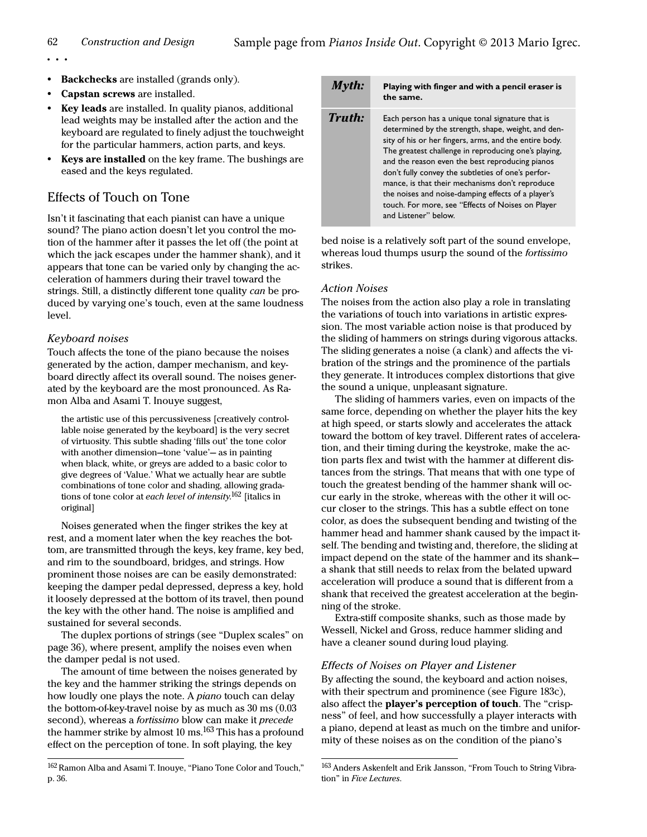- **•** Backchecks are installed (grands only).
- **•** Capstan screws are installed.
- **•** Key leads are installed. In quality pianos, additional lead weights may be installed after the action and the keyboard are regulated to finely adjust the touchweight for the particular hammers, action parts, and keys.
- **•** Keys are installed on the key frame. The bushings are eased and the keys regulated.

### Effects of Touch on Tone

Isn't it fascinating that each pianist can have a unique sound? The piano action doesn't let you control the motion of the hammer after it passes the let off (the point at which the jack escapes under the hammer shank), and it appears that tone can be varied only by changing the acceleration of hammers during their travel toward the strings. Still, a distinctly different tone quality can be produced by varying one's touch, even at the same loudness level.

### Keyboard noises

Touch affects the tone of the piano because the noises generated by the action, damper mechanism, and keyboard directly affect its overall sound. The noises generated by the keyboard are the most pronounced. As Ramon Alba and Asami T. Inouye suggest,

the artistic use of this percussiveness [creatively controllable noise generated by the keyboard] is the very secret of virtuosity. This subtle shading 'fills out' the tone color with another dimension—tone 'value'— as in painting when black, white, or greys are added to a basic color to give degrees of 'Value.' What we actually hear are subtle combinations of tone color and shading, allowing gradations of tone color at each level of intensity.<sup>162</sup> [italics in original]

Noises generated when the finger strikes the key at rest, and a moment later when the key reaches the bottom, are transmitted through the keys, key frame, key bed, and rim to the soundboard, bridges, and strings. How prominent those noises are can be easily demonstrated: keeping the damper pedal depressed, depress a key, hold it loosely depressed at the bottom of its travel, then pound the key with the other hand. The noise is amplified and sustained for several seconds.

The duplex portions of strings (see ["Duplex scales" on](#page-5-0)  [page 36\)](#page-5-0), where present, amplify the noises even when the damper pedal is not used.

The amount of time between the noises generated by the key and the hammer striking the strings depends on how loudly one plays the note. A *piano* touch can delay the bottom-of-key-travel noise by as much as 30 ms (0.03 second), whereas a *fortissimo* blow can make it *precede* the hammer strike by almost  $10 \text{ ms}$ .<sup>163</sup> This has a profound effect on the perception of tone. In soft playing, the key

#### 162 Ramon Alba and Asami T. Inouye, "Piano Tone Color and Touch," p. 36.

### Myth: **Playing with finger and with a pencil eraser is the same.**

| Truth: | Each person has a unique tonal signature that is<br>determined by the strength, shape, weight, and den-<br>sity of his or her fingers, arms, and the entire body.<br>The greatest challenge in reproducing one's playing,<br>and the reason even the best reproducing pianos<br>don't fully convey the subtleties of one's perfor-<br>mance, is that their mechanisms don't reproduce<br>the noises and noise-damping effects of a player's |
|--------|---------------------------------------------------------------------------------------------------------------------------------------------------------------------------------------------------------------------------------------------------------------------------------------------------------------------------------------------------------------------------------------------------------------------------------------------|
|        | touch. For more, see "Effects of Noises on Player<br>and Listener" below.                                                                                                                                                                                                                                                                                                                                                                   |

bed noise is a relatively soft part of the sound envelope, whereas loud thumps usurp the sound of the fortissimo strikes.

### Action Noises

The noises from the action also play a role in translating the variations of touch into variations in artistic expression. The most variable action noise is that produced by the sliding of hammers on strings during vigorous attacks. The sliding generates a noise (a clank) and affects the vibration of the strings and the prominence of the partials they generate. It introduces complex distortions that give the sound a unique, unpleasant signature.

The sliding of hammers varies, even on impacts of the same force, depending on whether the player hits the key at high speed, or starts slowly and accelerates the attack toward the bottom of key travel. Different rates of acceleration, and their timing during the keystroke, make the action parts flex and twist with the hammer at different distances from the strings. That means that with one type of touch the greatest bending of the hammer shank will occur early in the stroke, whereas with the other it will occur closer to the strings. This has a subtle effect on tone color, as does the subsequent bending and twisting of the hammer head and hammer shank caused by the impact itself. The bending and twisting and, therefore, the sliding at impact depend on the state of the hammer and its shank a shank that still needs to relax from the belated upward acceleration will produce a sound that is different from a shank that received the greatest acceleration at the beginning of the stroke.

Extra-stiff composite shanks, such as those made by Wessell, Nickel and Gross, reduce hammer sliding and have a cleaner sound during loud playing.

### <span id="page-10-0"></span>Effects of Noises on Player and Listener

By affecting the sound, the keyboard and action noises, with their spectrum and prominence (see [Figure 183c](#page--1-6)), also affect the player's perception of touch. The "crispness" of feel, and how successfully a player interacts with a piano, depend at least as much on the timbre and uniformity of these noises as on the condition of the piano's

<sup>163</sup> Anders Askenfelt and Erik Jansson, "From Touch to String Vibration" in Five Lectures.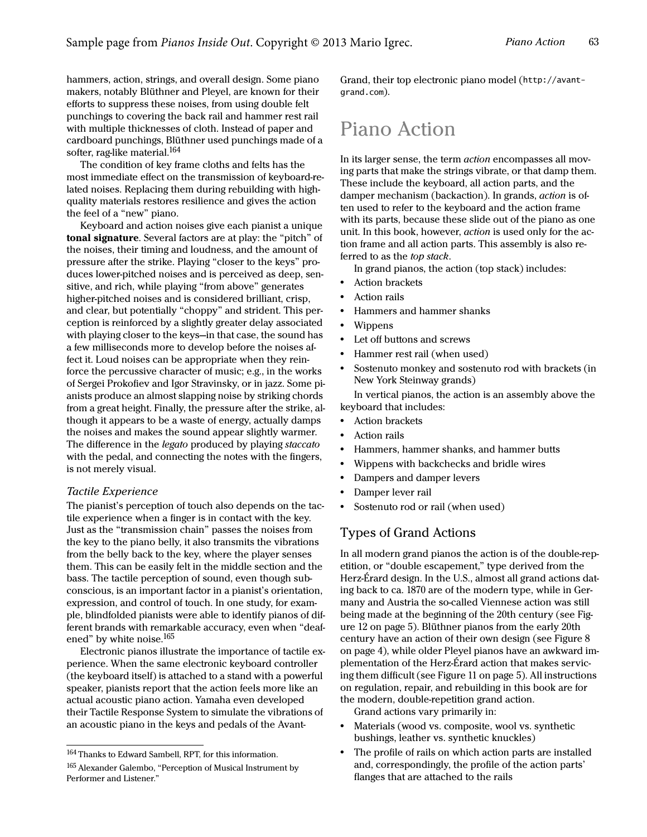hammers, action, strings, and overall design. Some piano makers, notably Blüthner and Pleyel, are known for their efforts to suppress these noises, from using double felt punchings to covering the back rail and hammer rest rail with multiple thicknesses of cloth. Instead of paper and cardboard punchings, Blüthner used punchings made of a softer, rag-like material.<sup>164</sup>

The condition of key frame cloths and felts has the most immediate effect on the transmission of keyboard-related noises. Replacing them during rebuilding with highquality materials restores resilience and gives the action the feel of a "new" piano.

Keyboard and action noises give each pianist a unique tonal signature. Several factors are at play: the "pitch" of the noises, their timing and loudness, and the amount of pressure after the strike. Playing "closer to the keys" produces lower-pitched noises and is perceived as deep, sensitive, and rich, while playing "from above" generates higher-pitched noises and is considered brilliant, crisp, and clear, but potentially "choppy" and strident. This perception is reinforced by a slightly greater delay associated with playing closer to the keys—in that case, the sound has a few milliseconds more to develop before the noises affect it. Loud noises can be appropriate when they reinforce the percussive character of music; e.g., in the works of Sergei Prokofiev and Igor Stravinsky, or in jazz. Some pianists produce an almost slapping noise by striking chords from a great height. Finally, the pressure after the strike, although it appears to be a waste of energy, actually damps the noises and makes the sound appear slightly warmer. The difference in the legato produced by playing staccato with the pedal, and connecting the notes with the fingers, is not merely visual.

### Tactile Experience

The pianist's perception of touch also depends on the tactile experience when a finger is in contact with the key. Just as the "transmission chain" passes the noises from the key to the piano belly, it also transmits the vibrations from the belly back to the key, where the player senses them. This can be easily felt in the middle section and the bass. The tactile perception of sound, even though subconscious, is an important factor in a pianist's orientation, expression, and control of touch. In one study, for example, blindfolded pianists were able to identify pianos of different brands with remarkable accuracy, even when "deafened" by white noise.<sup>165</sup>

Electronic pianos illustrate the importance of tactile experience. When the same electronic keyboard controller (the keyboard itself) is attached to a stand with a powerful speaker, pianists report that the action feels more like an actual acoustic piano action. Yamaha even developed their Tactile Response System to simulate the vibrations of an acoustic piano in the keys and pedals of the AvantGrand, their top electronic piano model (http://avantgrand.com).

# Piano Action

In its larger sense, the term action encompasses all moving parts that make the strings vibrate, or that damp them. These include the keyboard, all action parts, and the damper mechanism (backaction). In grands, action is often used to refer to the keyboard and the action frame with its parts, because these slide out of the piano as one unit. In this book, however, action is used only for the action frame and all action parts. This assembly is also referred to as the top stack.

In grand pianos, the action (top stack) includes:

- **•** Action brackets
- **•** Action rails
- **•** Hammers and hammer shanks
- **•** Wippens
- **•** Let off buttons and screws
- **•** Hammer rest rail (when used)
- **•** Sostenuto monkey and sostenuto rod with brackets (in New York Steinway grands)

In vertical pianos, the action is an assembly above the keyboard that includes:

- **•** Action brackets
- **•** Action rails
- **•** Hammers, hammer shanks, and hammer butts
- **•** Wippens with backchecks and bridle wires
- **•** Dampers and damper levers
- **•** Damper lever rail
- **•** Sostenuto rod or rail (when used)

### Types of Grand Actions

In all modern grand pianos the action is of the double-repetition, or "double escapement," type derived from the Herz-Érard design. In the U.S., almost all grand actions dating back to ca. 1870 are of the modern type, while in Germany and Austria the so-called Viennese action was still being made at the beginning of the 20th century (see Figure 12 on page 5). Blüthner pianos from the early 20th century have an action of their own design (see Figure 8 on page 4), while older Pleyel pianos have an awkward implementation of the Herz-Érard action that makes servicing them difficult (see Figure 11 on page 5). All instructions on regulation, repair, and rebuilding in this book are for the modern, double-repetition grand action.

Grand actions vary primarily in:

- **•** Materials (wood vs. composite, wool vs. synthetic bushings, leather vs. synthetic knuckles)
- **•** The profile of rails on which action parts are installed and, correspondingly, the profile of the action parts' flanges that are attached to the rails

<sup>164</sup>Thanks to Edward Sambell, RPT, for this information.

<sup>165</sup> Alexander Galembo, "Perception of Musical Instrument by Performer and Listener."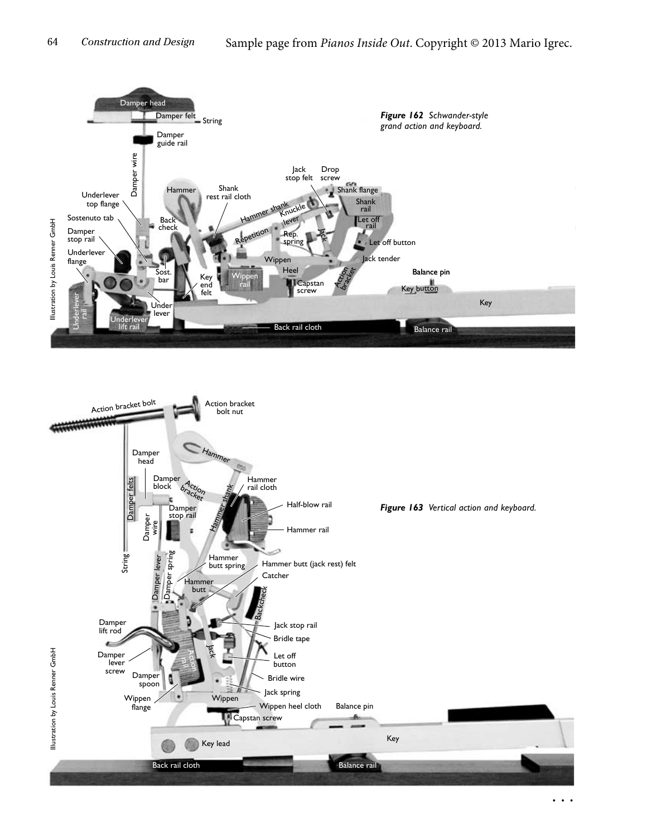